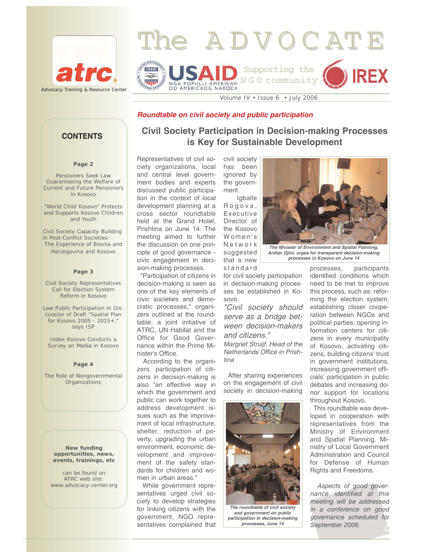



Volume IV • Issue 6 • July 2006

#### *Roundtable on civil society and public participation*

#### **Page 2**

Pensioners Seek Law Guaranteeing the Welfare of Current and Future Pensioners in Kosovo

"World Child Kosovo" Protects and Supports Kosovo Children and Youth

Civil Society Capacity Building in Post-Conflict Societies: The Experience of Bosnia and Herzegovina and Kosovo

#### **Page 3**

Civil Society Representatives Call for Election System Reform in Kosovo

Low Public Participation in Discussion of Draft "Spatial Plan for Kosovo 2005 - 2015+," says ISP

Index Kosovo Conducts a Survey on Media in Kosovo

#### **Page 4**

The Role of Nongovernmental **Organizations** 

> **New funding opportunities, news, events, trainings, etc**

can be found on ATRC web site: www.advocacy-center.org

**Civil Society Participation in Decision-making Processes is Key for Sustainable Development CONTENTS**

> Representatives of civil society organizations, local and central level government bodies and experts discussed public participation in the context of local development planning at a cross sector roundtable held at the Grand Hotel, Prishtina on June 14. The meeting aimed to further the discussion on one principle of good governance civic engagement in decision-making processes.

"Participation of citizens in decision-making is seen as one of the key elements of civic societies and democratic processes," organizers outlined at the roundtable, a joint initiative of ATRC, UN Habitat and the Office for Good Governance within the Prime Minister's Office.

According to the organizers, participation of citizens in decision-making is also "an effective way in which the government and public can work together to address development issues such as the improvement of local infrastructure, shelter, reduction of poverty, upgrading the urban environment, economic development and improvement of the safety standards for children and women in urban areas."

While government representatives urged civil society to develop strategies for linking citizens with the government, NGO representatives complained that has been ignored by the government. Igballe

civil society

Rogova, Executive Director of the Kosovo Women's Network suggested that a new standard

for civil society participation in decision-making processes be established in Kosovo.

*"Civil society should serve as a bridge between decision-makers and citizens."* 

*Margriet Struijf, Head of the Netherlands Office in Prishtina* 

After sharing experiences on the engagement of civil society in decision-making



*The roundtable of civil society and government on public participation in decision-making processes, June 14* 



*Ardian Gjini, urges for transparent decision-making processes in Kosovo on June 14*

processes, participants identified conditions which need to be met to improve this process, such as: reforming the election system, establishing closer cooperation between NGOs and political parties, opening information centers for citizens in every municipality of Kosovo, activating citizens, building citizens' trust in government institutions, increasing government officials' participation in public debates and increasing donor support for locations throughout Kosovo.

This roundtable was developed in cooperation with representatives from the Ministry of Environment and Spatial Planning, Ministry of Local Government Administration and Council for Defense of Human Rights and Freedoms.

*Aspects of good governance identified at this meeting will be addressed in a conference on good governance scheduled for September 2006.*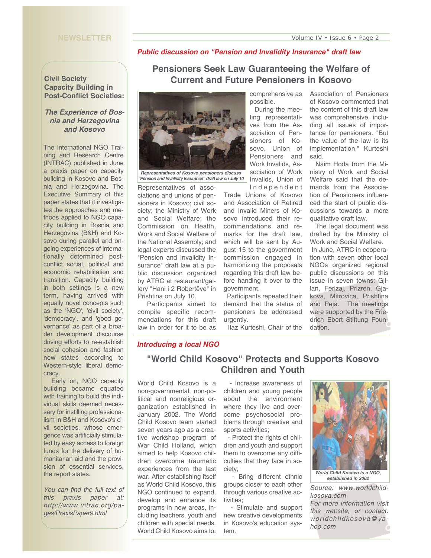#### **NEWSLETTER**

#### *Public discussion on "Pension and Invalidity Insurance" draft law*

**Pensioners Seek Law Guaranteeing the Welfare of Current and Future Pensioners in Kosovo**

### **Civil Society Capacity Building in Post-Conflict Societies:**

#### *The Experience of Bosnia and Herzegovina and Kosovo*

The International NGO Training and Research Centre (INTRAC) published in June a praxis paper on capacity building in Kosovo and Bosnia and Herzegovina. The Executive Summary of this paper states that it investigates the approaches and methods applied to NGO capacity building in Bosnia and Herzegovina (B&H) and Kosovo during parallel and ongoing experiences of internationally determined postconflict social, political and economic rehabilitation and transition. Capacity building in both settings is a new term, having arrived with equally novel concepts such as the 'NGO', 'civil society', 'democracy', and 'good governance' as part of a broader development discourse driving efforts to re-establish social cohesion and fashion new states according to Western-style liberal democracy.

Early on, NGO capacity building became equated with training to build the individual skills deemed necessary for instilling professionalism in B&H and Kosovo's civil societies, whose emergence was artificially stimulated by easy access to foreign funds for the delivery of humanitarian aid and the provision of essential services, the report states.

*You can find the full text of this praxis paper at: http://www.intrac.org/pages/PraxisPaper9.html* 



*Representatives of Kosovo pensioners discuss "Pension and Invalidity Insurance" draft law on July 10*

Representatives of associations and unions of pensioners in Kosovo; civil society; the Ministry of Work and Social Welfare; the Commission on Health, Work and Social Welfare of the National Assembly; and legal experts discussed the "Pension and Invalidity Insurance" draft law at a public discussion organized by ATRC at restaurant/gallery "Hani i 2 Robertëve" in Prishtina on July 10.

Participants aimed to compile specific recommendations for this draft law in order for it to be as

comprehensive as possible.

During the meeting, representatives from the Association of Pensioners of Kosovo, Union of Pensioners and Work Invalids, Association of Work Invalids, Union of Independent

Trade Unions of Kosovo and Association of Retired and Invalid Miners of Kosovo introduced their recommendations and remarks for the draft law, which will be sent by August 15 to the government commission engaged in harmonizing the proposals regarding this draft law before handing it over to the government.

Participants repeated their demand that the status of pensioners be addressed urgently.

Ilaz Kurteshi, Chair of the

Association of Pensioners of Kosovo commented that the content of this draft law was comprehensive, including all issues of importance for pensioners. "But the value of the law is its implementation," Kurteshi said.

Naim Hoda from the Ministry of Work and Social Welfare said that the demands from the Association of Pensioners influenced the start of public discussions towards a more qualitative draft law.

The legal document was drafted by the Ministry of Work and Social Welfare.

In June, ATRC in cooperation with seven other local NGOs organized regional public discussions on this issue in seven towns: Gjilan, Ferizaj, Prizren, Gjakova, Mitrovica, Prishtina and Peja. The meetings were supported by the Friedrich Ebert Stiftung Foundation.

## *Introducing a local NGO*

# **"World Child Kosovo" Protects and Supports Kosovo Children and Youth**

World Child Kosovo is a non-governmental, non-political and nonreligious organization established in January 2002. The World Child Kosovo team started seven years ago as a creative workshop program of War Child Holland, which aimed to help Kosovo children overcome traumatic experiences from the last war. After establishing itself as World Child Kosovo, this NGO continued to expand, develop and enhance its programs in new areas, including teachers, youth and children with special needs. World Child Kosovo aims to:

- Increase awareness of children and young people about the environment where they live and overcome psychosocial problems through creative and sports activities;

- Protect the rights of children and youth and support them to overcome any difficulties that they face in society;

- Bring different ethnic groups closer to each other through various creative activities;

- Stimulate and support new creative developments in Kosovo's education system.



*World Child Kosovo is a NGO, established in 2002*

*Source: www.worldchildkosova.com For more information visit this website, or contact: worldchildkosova@yahoo.com*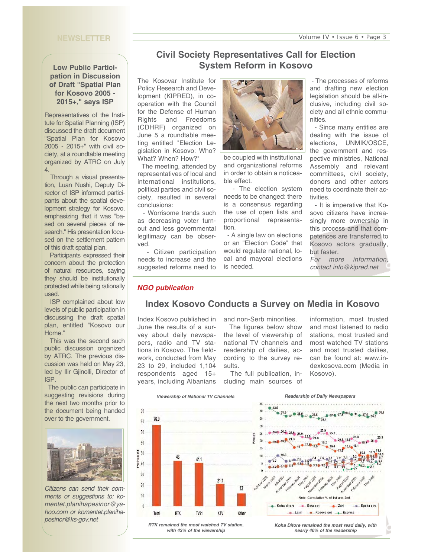#### **NEWSLETTER**

## **Low Public Participation in Discussion of Draft "Spatial Plan for Kosovo 2005 - 2015+," says ISP**

Representatives of the Institute for Spatial Planning (ISP) discussed the draft document "Spatial Plan for Kosovo 2005 - 2015+" with civil society, at a roundtable meeting organized by ATRC on July 4.

Through a visual presentation, Luan Nushi, Deputy Director of ISP informed participants about the spatial development strategy for Kosovo, emphasizing that it was "based on several pieces of research." His presentation focused on the settlement pattern of this draft spatial plan.

Participants expressed their concern about the protection of natural resources, saying they should be institutionally protected while being rationally used.

ISP complained about low levels of public participation in discussing the draft spatial plan, entitled "Kosovo our Home."

This was the second such public discussion organized by ATRC. The previous discussion was held on May 23, led by Ilir Gjinolli, Director of ISP.

The public can participate in suggesting revisions during the next two months prior to the document being handed over to the government.



*Citizens can send their comments or suggestions to: komentet.planihapesinor@yahoo.com or komentet.planihapesinor@ks-gov.net*

# **Civil Society Representatives Call for Election System Reform in Kosovo**

The Kosovar Institute for Policy Research and Development (KIPRED), in cooperation with the Council for the Defense of Human Rights and Freedoms (CDHRF) organized on June 5 a roundtable meeting entitled "Election Legislation in Kosovo: Who? What? When? How?"

The meeting, attended by representatives of local and international institutions, political parties and civil society, resulted in several conclusions:

- Worrisome trends such as decreasing voter turnout and less governmental legitimacy can be observed.

- Citizen participation needs to increase and the suggested reforms need to



be coupled with institutional and organizational reforms in order to obtain a noticeable effect.

- The election system needs to be changed: there is a consensus regarding the use of open lists and proportional representation.

- A single law on elections or an "Election Code" that would regulate national, local and mayoral elections is needed.

- The processes of reforms and drafting new election legislation should be all-inclusive, including civil society and all ethnic communities.

- Since many entities are dealing with the issue of elections, UNMIK/OSCE, the government and respective ministries, National Assembly and relevant committees, civil society, donors and other actors need to coordinate their activities.

- It is imperative that Kosovo citizens have increasingly more ownership in this process and that competences are transferred to Kosovo actors gradually, but faster.

*For more information, contact info@kipred.net*

#### *NGO publication*

## **Index Kosovo Conducts a Survey on Media in Kosovo**

Index Kosovo published in June the results of a survey about daily newspapers, radio and TV stations in Kosovo. The fieldwork, conducted from May 23 to 29, included 1,104 respondents aged 15+ years, including Albanians and non-Serb minorities. The figures below show

the level of viewership of national TV channels and readership of dailies, according to the survey results.

The full publication, including main sources of

information, most trusted and most listened to radio stations, most trusted and most watched TV stations and most trusted dailies, can be found at: www.indexkosova.com (Media in Kosovo).





*nearly 40% of the readership*